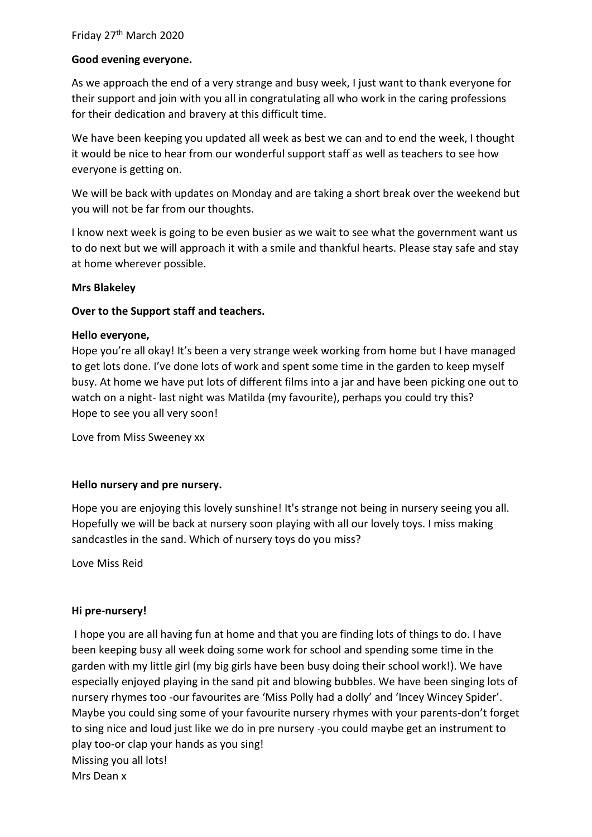## **Good evening everyone.**

As we approach the end of a very strange and busy week, I just want to thank everyone for their support and join with you all in congratulating all who work in the caring professions for their dedication and bravery at this difficult time.

We have been keeping you updated all week as best we can and to end the week, I thought it would be nice to hear from our wonderful support staff as well as teachers to see how everyone is getting on.

We will be back with updates on Monday and are taking a short break over the weekend but you will not be far from our thoughts.

I know next week is going to be even busier as we wait to see what the government want us to do next but we will approach it with a smile and thankful hearts. Please stay safe and stay at home wherever possible.

## **Mrs Blakeley**

## **Over to the Support staff and teachers.**

#### **Hello everyone,**

Hope you're all okay! It's been a very strange week working from home but I have managed to get lots done. I've done lots of work and spent some time in the garden to keep myself busy. At home we have put lots of different films into a jar and have been picking one out to watch on a night- last night was Matilda (my favourite), perhaps you could try this? Hope to see you all very soon!

Love from Miss Sweeney xx

#### **Hello nursery and pre nursery.**

Hope you are enjoying this lovely sunshine! It's strange not being in nursery seeing you all. Hopefully we will be back at nursery soon playing with all our lovely toys. I miss making sandcastles in the sand. Which of nursery toys do you miss?

Love Miss Reid

# **Hi pre-nursery!**

I hope you are all having fun at home and that you are finding lots of things to do. I have been keeping busy all week doing some work for school and spending some time in the garden with my little girl (my big girls have been busy doing their school work!). We have especially enjoyed playing in the sand pit and blowing bubbles. We have been singing lots of nursery rhymes too -our favourites are 'Miss Polly had a dolly' and 'Incey Wincey Spider'. Maybe you could sing some of your favourite nursery rhymes with your parents-don't forget to sing nice and loud just like we do in pre nursery -you could maybe get an instrument to play too-or clap your hands as you sing! Missing you all lots! Mrs Dean x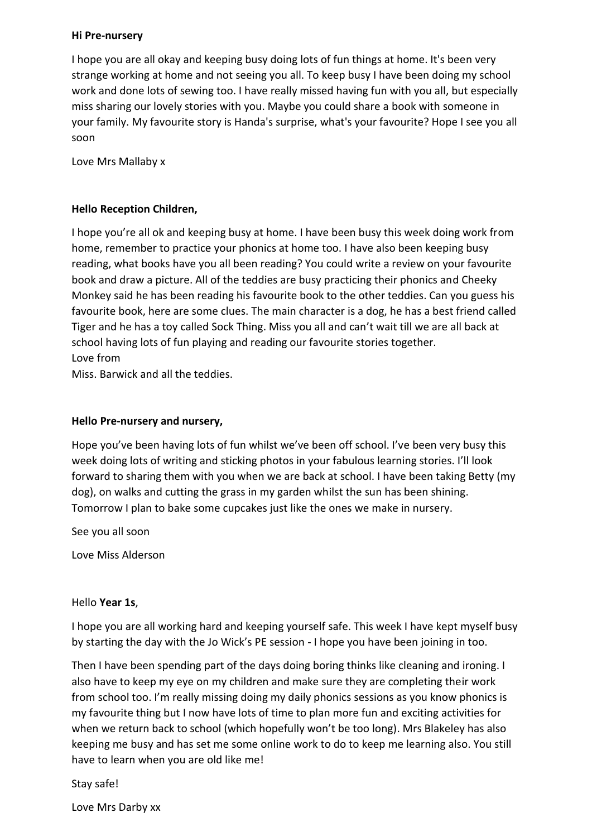#### **Hi Pre-nursery**

I hope you are all okay and keeping busy doing lots of fun things at home. It's been very strange working at home and not seeing you all. To keep busy I have been doing my school work and done lots of sewing too. I have really missed having fun with you all, but especially miss sharing our lovely stories with you. Maybe you could share a book with someone in your family. My favourite story is Handa's surprise, what's your favourite? Hope I see you all soon

Love Mrs Mallaby x

#### **Hello Reception Children,**

I hope you're all ok and keeping busy at home. I have been busy this week doing work from home, remember to practice your phonics at home too. I have also been keeping busy reading, what books have you all been reading? You could write a review on your favourite book and draw a picture. All of the teddies are busy practicing their phonics and Cheeky Monkey said he has been reading his favourite book to the other teddies. Can you guess his favourite book, here are some clues. The main character is a dog, he has a best friend called Tiger and he has a toy called Sock Thing. Miss you all and can't wait till we are all back at school having lots of fun playing and reading our favourite stories together. Love from

Miss. Barwick and all the teddies.

### **Hello Pre-nursery and nursery,**

Hope you've been having lots of fun whilst we've been off school. I've been very busy this week doing lots of writing and sticking photos in your fabulous learning stories. I'll look forward to sharing them with you when we are back at school. I have been taking Betty (my dog), on walks and cutting the grass in my garden whilst the sun has been shining. Tomorrow I plan to bake some cupcakes just like the ones we make in nursery.

See you all soon

Love Miss Alderson

#### Hello **Year 1s**,

I hope you are all working hard and keeping yourself safe. This week I have kept myself busy by starting the day with the Jo Wick's PE session - I hope you have been joining in too.

Then I have been spending part of the days doing boring thinks like cleaning and ironing. I also have to keep my eye on my children and make sure they are completing their work from school too. I'm really missing doing my daily phonics sessions as you know phonics is my favourite thing but I now have lots of time to plan more fun and exciting activities for when we return back to school (which hopefully won't be too long). Mrs Blakeley has also keeping me busy and has set me some online work to do to keep me learning also. You still have to learn when you are old like me!

#### Stay safe!

Love Mrs Darby xx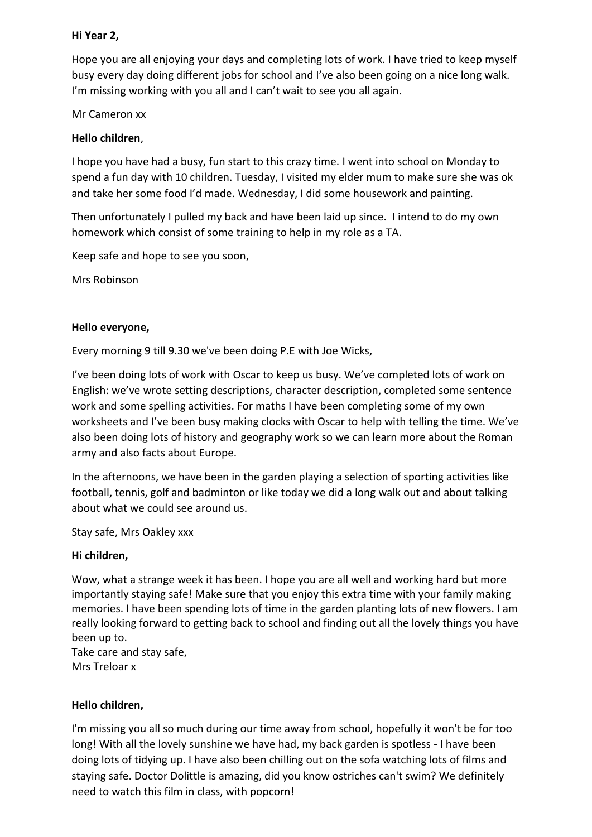# **Hi Year 2,**

Hope you are all enjoying your days and completing lots of work. I have tried to keep myself busy every day doing different jobs for school and I've also been going on a nice long walk. I'm missing working with you all and I can't wait to see you all again.

Mr Cameron xx

## **Hello children**,

I hope you have had a busy, fun start to this crazy time. I went into school on Monday to spend a fun day with 10 children. Tuesday, I visited my elder mum to make sure she was ok and take her some food I'd made. Wednesday, I did some housework and painting.

Then unfortunately I pulled my back and have been laid up since. I intend to do my own homework which consist of some training to help in my role as a TA.

Keep safe and hope to see you soon,

Mrs Robinson

## **Hello everyone,**

Every morning 9 till 9.30 we've been doing P.E with Joe Wicks,

I've been doing lots of work with Oscar to keep us busy. We've completed lots of work on English: we've wrote setting descriptions, character description, completed some sentence work and some spelling activities. For maths I have been completing some of my own worksheets and I've been busy making clocks with Oscar to help with telling the time. We've also been doing lots of history and geography work so we can learn more about the Roman army and also facts about Europe.

In the afternoons, we have been in the garden playing a selection of sporting activities like football, tennis, golf and badminton or like today we did a long walk out and about talking about what we could see around us.

Stay safe, Mrs Oakley xxx

#### **Hi children,**

Wow, what a strange week it has been. I hope you are all well and working hard but more importantly staying safe! Make sure that you enjoy this extra time with your family making memories. I have been spending lots of time in the garden planting lots of new flowers. I am really looking forward to getting back to school and finding out all the lovely things you have been up to.

Take care and stay safe, Mrs Treloar x

#### **Hello children,**

I'm missing you all so much during our time away from school, hopefully it won't be for too long! With all the lovely sunshine we have had, my back garden is spotless - I have been doing lots of tidying up. I have also been chilling out on the sofa watching lots of films and staying safe. Doctor Dolittle is amazing, did you know ostriches can't swim? We definitely need to watch this film in class, with popcorn!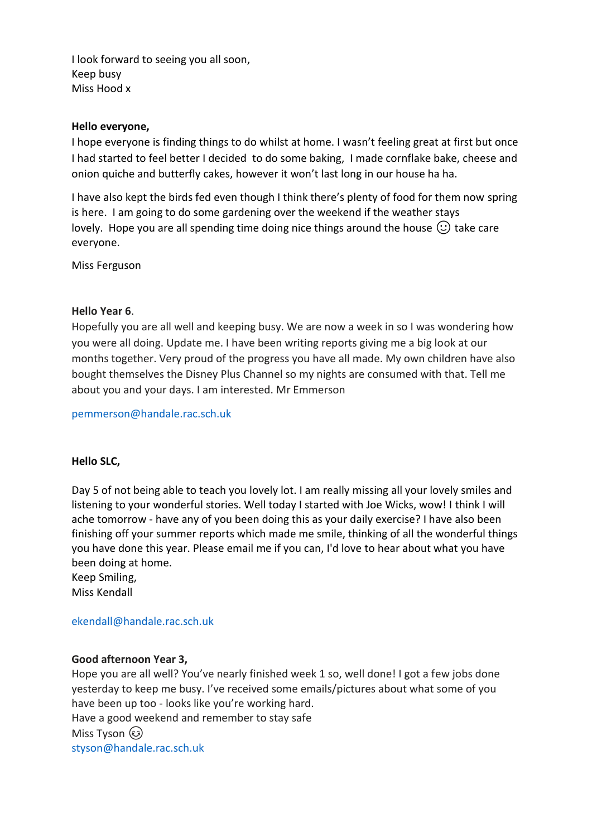I look forward to seeing you all soon, Keep busy Miss Hood x

#### **Hello everyone,**

I hope everyone is finding things to do whilst at home. I wasn't feeling great at first but once I had started to feel better I decided to do some baking, I made cornflake bake, cheese and onion quiche and butterfly cakes, however it won't last long in our house ha ha.

I have also kept the birds fed even though I think there's plenty of food for them now spring is here. I am going to do some gardening over the weekend if the weather stays lovely. Hope you are all spending time doing nice things around the house  $\circlearrowright$  take care everyone.

Miss Ferguson

# **Hello Year 6**.

Hopefully you are all well and keeping busy. We are now a week in so I was wondering how you were all doing. Update me. I have been writing reports giving me a big look at our months together. Very proud of the progress you have all made. My own children have also bought themselves the Disney Plus Channel so my nights are consumed with that. Tell me about you and your days. I am interested. Mr Emmerson

[pemmerson@handale.rac.sch.uk](mailto:pemmerson@handale.rac.sch.uk)

# **Hello SLC,**

Day 5 of not being able to teach you lovely lot. I am really missing all your lovely smiles and listening to your wonderful stories. Well today I started with Joe Wicks, wow! I think I will ache tomorrow - have any of you been doing this as your daily exercise? I have also been finishing off your summer reports which made me smile, thinking of all the wonderful things you have done this year. Please email me if you can, I'd love to hear about what you have been doing at home.

Keep Smiling, Miss Kendall

[ekendall@handale.rac.sch.uk](mailto:ekendall@handale.rac.sch.uk)

#### **Good afternoon Year 3,**

Hope you are all well? You've nearly finished week 1 so, well done! I got a few jobs done yesterday to keep me busy. I've received some emails/pictures about what some of you have been up too - looks like you're working hard. Have a good weekend and remember to stay safe Miss Tyson (&)

[styson@handale.rac.sch.uk](mailto:styson@handale.rac.sch.uk)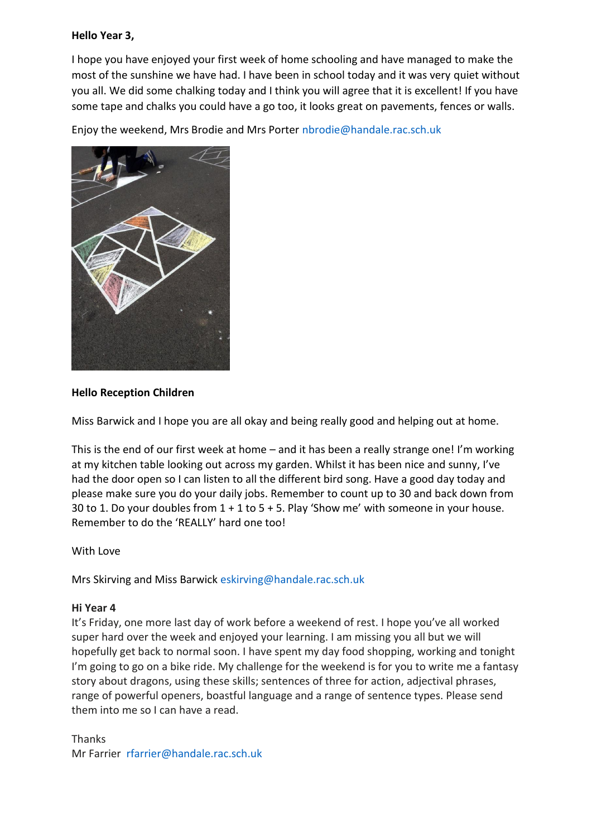### **Hello Year 3,**

I hope you have enjoyed your first week of home schooling and have managed to make the most of the sunshine we have had. I have been in school today and it was very quiet without you all. We did some chalking today and I think you will agree that it is excellent! If you have some tape and chalks you could have a go too, it looks great on pavements, fences or walls.

Enjoy the weekend, Mrs Brodie and Mrs Porter [nbrodie@handale.rac.sch.uk](mailto:nbrodie@handale.rac.sch.uk)



## **Hello Reception Children**

Miss Barwick and I hope you are all okay and being really good and helping out at home.

This is the end of our first week at home – and it has been a really strange one! I'm working at my kitchen table looking out across my garden. Whilst it has been nice and sunny, I've had the door open so I can listen to all the different bird song. Have a good day today and please make sure you do your daily jobs. Remember to count up to 30 and back down from 30 to 1. Do your doubles from 1 + 1 to 5 + 5. Play 'Show me' with someone in your house. Remember to do the 'REALLY' hard one too!

#### With Love

Mrs Skirving and Miss Barwick [eskirving@handale.rac.sch.uk](mailto:eskirving@handale.rac.sch.uk)

#### **Hi Year 4**

It's Friday, one more last day of work before a weekend of rest. I hope you've all worked super hard over the week and enjoyed your learning. I am missing you all but we will hopefully get back to normal soon. I have spent my day food shopping, working and tonight I'm going to go on a bike ride. My challenge for the weekend is for you to write me a fantasy story about dragons, using these skills; sentences of three for action, adjectival phrases, range of powerful openers, boastful language and a range of sentence types. Please send them into me so I can have a read.

Thanks Mr Farrier [rfarrier@handale.rac.sch.uk](mailto:rfarrier@handale.rac.sch.uk)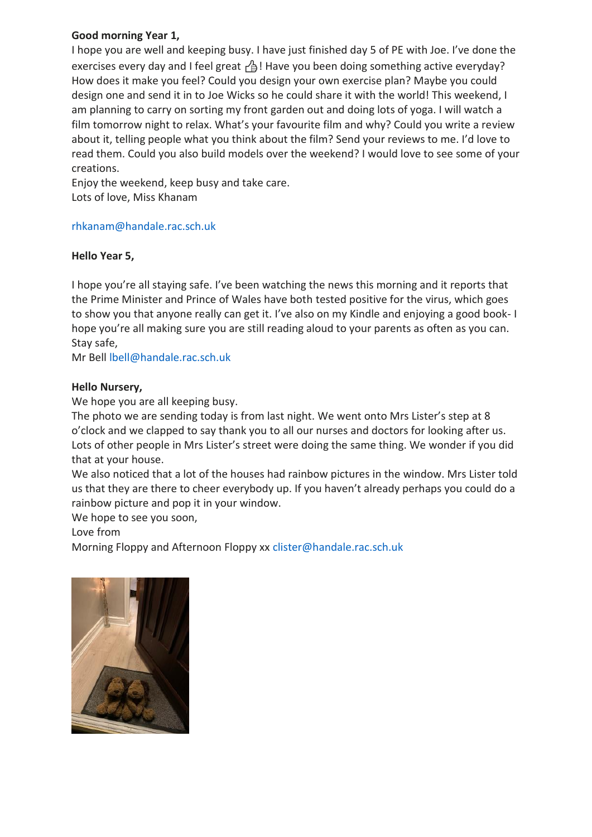## **Good morning Year 1,**

I hope you are well and keeping busy. I have just finished day 5 of PE with Joe. I've done the exercises every day and I feel great  $\beta$ ! Have you been doing something active everyday? How does it make you feel? Could you design your own exercise plan? Maybe you could design one and send it in to Joe Wicks so he could share it with the world! This weekend, I am planning to carry on sorting my front garden out and doing lots of yoga. I will watch a film tomorrow night to relax. What's your favourite film and why? Could you write a review about it, telling people what you think about the film? Send your reviews to me. I'd love to read them. Could you also build models over the weekend? I would love to see some of your creations.

Enjoy the weekend, keep busy and take care. Lots of love, Miss Khanam

#### [rhkanam@handale.rac.sch.uk](mailto:rhkanam@handale.rac.sch.uk)

## **Hello Year 5,**

I hope you're all staying safe. I've been watching the news this morning and it reports that the Prime Minister and Prince of Wales have both tested positive for the virus, which goes to show you that anyone really can get it. I've also on my Kindle and enjoying a good book- I hope you're all making sure you are still reading aloud to your parents as often as you can. Stay safe,

Mr Bell [lbell@handale.rac.sch.uk](mailto:lbell@handale.rac.sch.uk)

## **Hello Nursery,**

We hope you are all keeping busy.

The photo we are sending today is from last night. We went onto Mrs Lister's step at 8 o'clock and we clapped to say thank you to all our nurses and doctors for looking after us. Lots of other people in Mrs Lister's street were doing the same thing. We wonder if you did that at your house.

We also noticed that a lot of the houses had rainbow pictures in the window. Mrs Lister told us that they are there to cheer everybody up. If you haven't already perhaps you could do a rainbow picture and pop it in your window.

We hope to see you soon,

Love from

Morning Floppy and Afternoon Floppy xx [clister@handale.rac.sch.uk](mailto:clister@handale.rac.sch.uk)